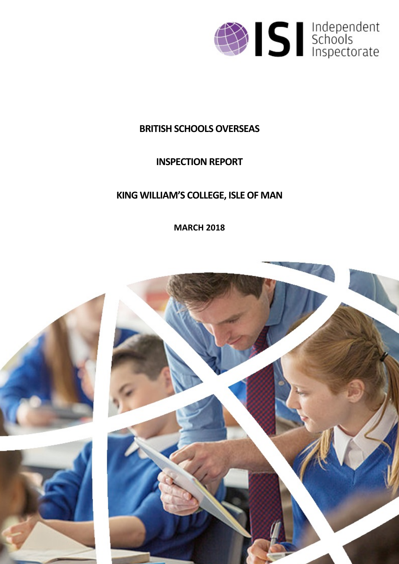

# **BRITISH SCHOOLSOVERSEAS**

# **INSPECTION REPORT**

# **KING WILLIAM'S COLLEGE, ISLEOF MAN**

**MARCH 2018**

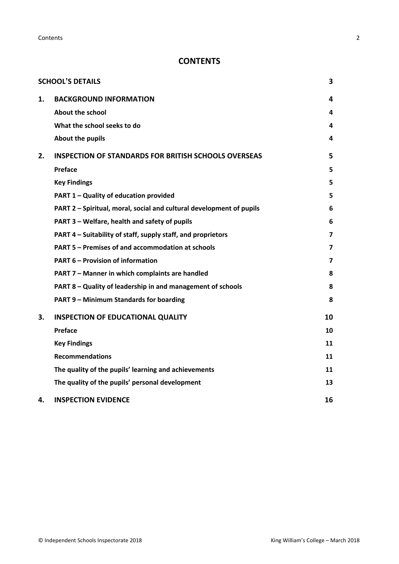**Contents** 2

# **CONTENTS**

|    | <b>SCHOOL'S DETAILS</b>                                              | 3                       |
|----|----------------------------------------------------------------------|-------------------------|
| 1. | <b>BACKGROUND INFORMATION</b>                                        | 4                       |
|    | <b>About the school</b>                                              | 4                       |
|    | What the school seeks to do                                          | 4                       |
|    | <b>About the pupils</b>                                              | 4                       |
| 2. | <b>INSPECTION OF STANDARDS FOR BRITISH SCHOOLS OVERSEAS</b>          | 5                       |
|    | Preface                                                              | 5                       |
|    | <b>Key Findings</b>                                                  | 5                       |
|    | PART 1 - Quality of education provided                               | 5                       |
|    | PART 2 - Spiritual, moral, social and cultural development of pupils | 6                       |
|    | PART 3 - Welfare, health and safety of pupils                        | 6                       |
|    | PART 4 – Suitability of staff, supply staff, and proprietors         | $\overline{\mathbf{z}}$ |
|    | <b>PART 5 - Premises of and accommodation at schools</b>             | 7                       |
|    | <b>PART 6 - Provision of information</b>                             | 7                       |
|    | PART 7 - Manner in which complaints are handled                      | 8                       |
|    | PART 8 - Quality of leadership in and management of schools          | 8                       |
|    | PART 9 - Minimum Standards for boarding                              | 8                       |
| 3. | <b>INSPECTION OF EDUCATIONAL QUALITY</b>                             | 10                      |
|    | Preface                                                              | 10                      |
|    | <b>Key Findings</b>                                                  | 11                      |
|    | <b>Recommendations</b>                                               | 11                      |
|    | The quality of the pupils' learning and achievements                 | 11                      |
|    | The quality of the pupils' personal development                      | 13                      |
| 4. | <b>INSPECTION EVIDENCE</b>                                           | 16                      |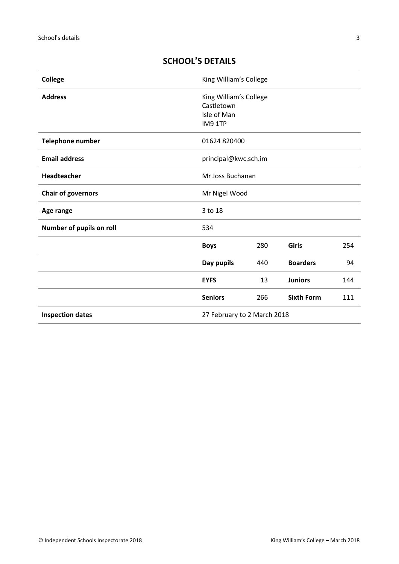| <b>College</b>                  | King William's College                                         |     |                   |     |
|---------------------------------|----------------------------------------------------------------|-----|-------------------|-----|
| <b>Address</b>                  | King William's College<br>Castletown<br>Isle of Man<br>IM9 1TP |     |                   |     |
| Telephone number                | 01624 820400                                                   |     |                   |     |
| <b>Email address</b>            | principal@kwc.sch.im                                           |     |                   |     |
| Headteacher<br>Mr Joss Buchanan |                                                                |     |                   |     |
| <b>Chair of governors</b>       | Mr Nigel Wood                                                  |     |                   |     |
| Age range                       | 3 to 18                                                        |     |                   |     |
| Number of pupils on roll        | 534                                                            |     |                   |     |
|                                 | <b>Boys</b>                                                    | 280 | <b>Girls</b>      | 254 |
|                                 | Day pupils                                                     | 440 | <b>Boarders</b>   | 94  |
|                                 | <b>EYFS</b>                                                    | 13  | <b>Juniors</b>    | 144 |
|                                 | <b>Seniors</b>                                                 | 266 | <b>Sixth Form</b> | 111 |
| <b>Inspection dates</b>         | 27 February to 2 March 2018                                    |     |                   |     |

# <span id="page-2-0"></span>**SCHOOL'S DETAILS**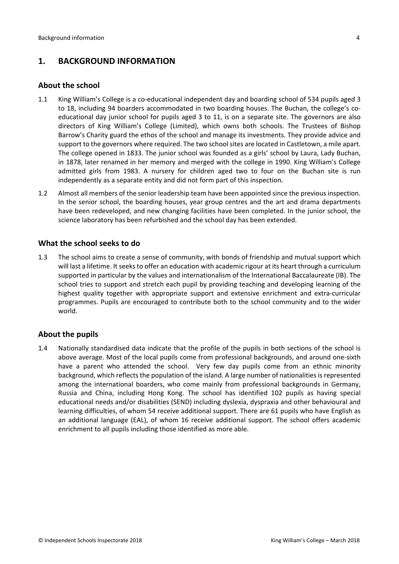## <span id="page-3-0"></span>**1. BACKGROUND INFORMATION**

### <span id="page-3-1"></span>**About the school**

- 1.1 King William's College is a co-educational independent day and boarding school of 534 pupils aged 3 to 18, including 94 boarders accommodated in two boarding houses. The Buchan, the college's coeducational day junior school for pupils aged 3 to 11, is on a separate site. The governors are also directors of King William's College (Limited), which owns both schools. The Trustees of Bishop Barrow's Charity guard the ethos of the school and manage its investments. They provide advice and support to the governors where required. The two school sites are located in Castletown, a mile apart. The college opened in 1833. The junior school was founded as a girls' school by Laura, Lady Buchan, in 1878, later renamed in her memory and merged with the college in 1990. King William's College admitted girls from 1983. A nursery for children aged two to four on the Buchan site is run independently as a separate entity and did not form part of this inspection.
- 1.2 Almost all members of the senior leadership team have been appointed since the previous inspection. In the senior school, the boarding houses, year group centres and the art and drama departments have been redeveloped, and new changing facilities have been completed. In the junior school, the science laboratory has been refurbished and the school day has been extended.

### <span id="page-3-2"></span>**What the school seeks to do**

1.3 The school aims to create a sense of community, with bonds of friendship and mutual support which will last a lifetime. It seeks to offer an education with academic rigour at its heart through a curriculum supported in particular by the values and internationalism of the International Baccalaureate (IB). The school tries to support and stretch each pupil by providing teaching and developing learning of the highest quality together with appropriate support and extensive enrichment and extra-curricular programmes. Pupils are encouraged to contribute both to the school community and to the wider world.

## <span id="page-3-3"></span>**About the pupils**

1.4 Nationally standardised data indicate that the profile of the pupils in both sections of the school is above average. Most of the local pupils come from professional backgrounds, and around one-sixth have a parent who attended the school. Very few day pupils come from an ethnic minority background, which reflects the population of the island. A large number of nationalities is represented among the international boarders, who come mainly from professional backgrounds in Germany, Russia and China, including Hong Kong. The school has identified 102 pupils as having special educational needs and/or disabilities (SEND) including dyslexia, dyspraxia and other behavioural and learning difficulties, of whom 54 receive additional support. There are 61 pupils who have English as an additional language (EAL), of whom 16 receive additional support. The school offers academic enrichment to all pupils including those identified as more able.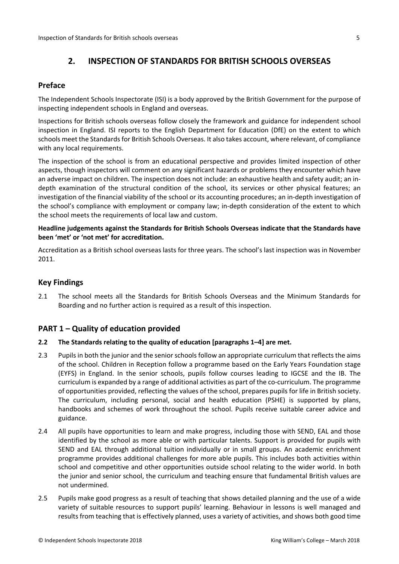## <span id="page-4-0"></span>**2. INSPECTION OF STANDARDS FOR BRITISH SCHOOLS OVERSEAS**

## <span id="page-4-1"></span>**Preface**

The Independent Schools Inspectorate (ISI) is a body approved by the British Government for the purpose of inspecting independent schools in England and overseas.

Inspections for British schools overseas follow closely the framework and guidance for independent school inspection in England. ISI reports to the English Department for Education (DfE) on the extent to which schools meet the Standards for British Schools Overseas. It also takes account, where relevant, of compliance with any local requirements.

The inspection of the school is from an educational perspective and provides limited inspection of other aspects, though inspectors will comment on any significant hazards or problems they encounter which have an adverse impact on children. The inspection does not include: an exhaustive health and safety audit; an indepth examination of the structural condition of the school, its services or other physical features; an investigation of the financial viability of the school or its accounting procedures; an in-depth investigation of the school's compliance with employment or company law; in-depth consideration of the extent to which the school meets the requirements of local law and custom.

### **Headline judgements against the Standards for British Schools Overseas indicate that the Standards have been 'met' or 'not met' for accreditation.**

Accreditation as a British school overseas lasts for three years. The school's last inspection was in November 2011.

## <span id="page-4-2"></span>**Key Findings**

2.1 The school meets all the Standards for British Schools Overseas and the Minimum Standards for Boarding and no further action is required as a result of this inspection.

## <span id="page-4-3"></span>**PART 1 – Quality of education provided**

#### **2.2 The Standards relating to the quality of education [paragraphs 1–4] are met.**

- 2.3 Pupils in both the junior and the senior schools follow an appropriate curriculum that reflects the aims of the school. Children in Reception follow a programme based on the Early Years Foundation stage (EYFS) in England. In the senior schools, pupils follow courses leading to IGCSE and the IB. The curriculum is expanded by a range of additional activities as part of the co-curriculum. The programme of opportunities provided, reflecting the values of the school, prepares pupils for life in British society. The curriculum, including personal, social and health education (PSHE) is supported by plans, handbooks and schemes of work throughout the school. Pupils receive suitable career advice and guidance.
- 2.4 All pupils have opportunities to learn and make progress, including those with SEND, EAL and those identified by the school as more able or with particular talents. Support is provided for pupils with SEND and EAL through additional tuition individually or in small groups. An academic enrichment programme provides additional challenges for more able pupils. This includes both activities within school and competitive and other opportunities outside school relating to the wider world. In both the junior and senior school, the curriculum and teaching ensure that fundamental British values are not undermined.
- 2.5 Pupils make good progress as a result of teaching that shows detailed planning and the use of a wide variety of suitable resources to support pupils' learning. Behaviour in lessons is well managed and results from teaching that is effectively planned, uses a variety of activities, and shows both good time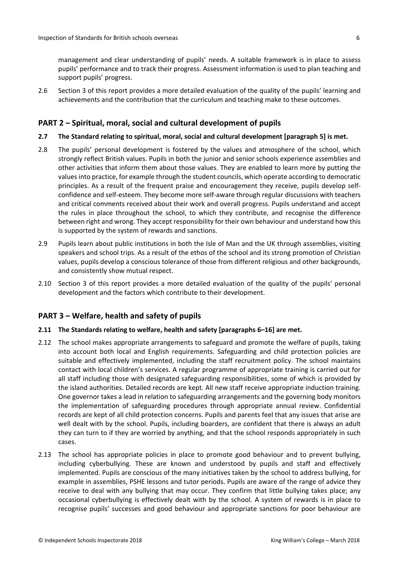management and clear understanding of pupils' needs. A suitable framework is in place to assess pupils' performance and to track their progress. Assessment information is used to plan teaching and support pupils' progress.

2.6 Section 3 of this report provides a more detailed evaluation of the quality of the pupils' learning and achievements and the contribution that the curriculum and teaching make to these outcomes.

### <span id="page-5-0"></span>**PART 2 – Spiritual, moral, social and cultural development of pupils**

#### **2.7 The Standard relating to spiritual, moral, social and cultural development [paragraph 5] is met.**

- 2.8 The pupils' personal development is fostered by the values and atmosphere of the school, which strongly reflect British values. Pupils in both the junior and senior schools experience assemblies and other activities that inform them about those values. They are enabled to learn more by putting the valuesinto practice, for example through the student councils, which operate according to democratic principles. As a result of the frequent praise and encouragement they receive, pupils develop selfconfidence and self-esteem. They become more self-aware through regular discussions with teachers and critical comments received about their work and overall progress. Pupils understand and accept the rules in place throughout the school, to which they contribute, and recognise the difference between right and wrong. They accept responsibility for their own behaviour and understand how this is supported by the system of rewards and sanctions.
- 2.9 Pupils learn about public institutions in both the Isle of Man and the UK through assemblies, visiting speakers and school trips. As a result of the ethos of the school and its strong promotion of Christian values, pupils develop a conscious tolerance of those from different religious and other backgrounds, and consistently show mutual respect.
- 2.10 Section 3 of this report provides a more detailed evaluation of the quality of the pupils' personal development and the factors which contribute to their development.

#### <span id="page-5-1"></span>**PART 3 – Welfare, health and safety of pupils**

#### **2.11 The Standards relating to welfare, health and safety [paragraphs 6–16] are met.**

- 2.12 The school makes appropriate arrangements to safeguard and promote the welfare of pupils, taking into account both local and English requirements. Safeguarding and child protection policies are suitable and effectively implemented, including the staff recruitment policy. The school maintains contact with local children's services. A regular programme of appropriate training is carried out for all staff including those with designated safeguarding responsibilities, some of which is provided by the island authorities. Detailed records are kept. All new staff receive appropriate induction training. One governor takes a lead in relation to safeguarding arrangements and the governing body monitors the implementation of safeguarding procedures through appropriate annual review. Confidential records are kept of all child protection concerns. Pupils and parents feel that any issues that arise are well dealt with by the school. Pupils, including boarders, are confident that there is always an adult they can turn to if they are worried by anything, and that the school responds appropriately in such cases.
- 2.13 The school has appropriate policies in place to promote good behaviour and to prevent bullying, including cyberbullying. These are known and understood by pupils and staff and effectively implemented. Pupils are conscious of the many initiatives taken by the school to address bullying, for example in assemblies, PSHE lessons and tutor periods. Pupils are aware of the range of advice they receive to deal with any bullying that may occur. They confirm that little bullying takes place; any occasional cyberbullying is effectively dealt with by the school. A system of rewards is in place to recognise pupils' successes and good behaviour and appropriate sanctions for poor behaviour are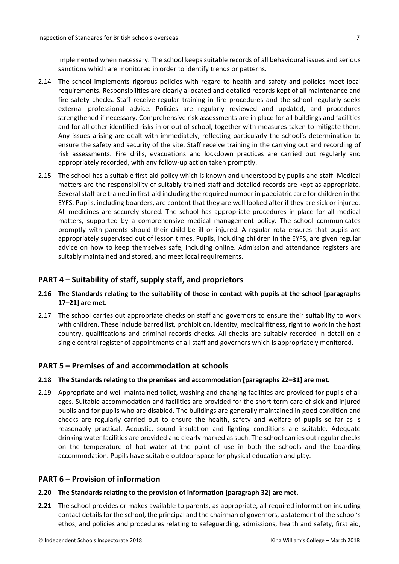implemented when necessary. The school keeps suitable records of all behavioural issues and serious sanctions which are monitored in order to identify trends or patterns.

- 2.14 The school implements rigorous policies with regard to health and safety and policies meet local requirements. Responsibilities are clearly allocated and detailed records kept of all maintenance and fire safety checks. Staff receive regular training in fire procedures and the school regularly seeks external professional advice. Policies are regularly reviewed and updated, and procedures strengthened if necessary. Comprehensive risk assessments are in place for all buildings and facilities and for all other identified risks in or out of school, together with measures taken to mitigate them. Any issues arising are dealt with immediately, reflecting particularly the school's determination to ensure the safety and security of the site. Staff receive training in the carrying out and recording of risk assessments. Fire drills, evacuations and lockdown practices are carried out regularly and appropriately recorded, with any follow-up action taken promptly.
- 2.15 The school has a suitable first-aid policy which is known and understood by pupils and staff. Medical matters are the responsibility of suitably trained staff and detailed records are kept as appropriate. Several staff are trained in first-aid including the required number in paediatric care for children in the EYFS. Pupils, including boarders, are content that they are well looked after if they are sick or injured. All medicines are securely stored. The school has appropriate procedures in place for all medical matters, supported by a comprehensive medical management policy. The school communicates promptly with parents should their child be ill or injured. A regular rota ensures that pupils are appropriately supervised out of lesson times. Pupils, including children in the EYFS, are given regular advice on how to keep themselves safe, including online. Admission and attendance registers are suitably maintained and stored, and meet local requirements.

## <span id="page-6-0"></span>**PART 4 – Suitability of staff, supply staff, and proprietors**

### **2.16 The Standards relating to the suitability of those in contact with pupils at the school [paragraphs 17–21] are met.**

2.17 The school carries out appropriate checks on staff and governors to ensure their suitability to work with children. These include barred list, prohibition, identity, medical fitness, right to work in the host country, qualifications and criminal records checks. All checks are suitably recorded in detail on a single central register of appointments of all staff and governors which is appropriately monitored.

## <span id="page-6-1"></span>**PART 5 – Premises of and accommodation at schools**

#### **2.18 The Standards relating to the premises and accommodation [paragraphs 22–31] are met.**

2.19 Appropriate and well-maintained toilet, washing and changing facilities are provided for pupils of all ages. Suitable accommodation and facilities are provided for the short-term care of sick and injured pupils and for pupils who are disabled. The buildings are generally maintained in good condition and checks are regularly carried out to ensure the health, safety and welfare of pupils so far as is reasonably practical. Acoustic, sound insulation and lighting conditions are suitable. Adequate drinking water facilities are provided and clearly marked assuch. The school carries out regular checks on the temperature of hot water at the point of use in both the schools and the boarding accommodation. Pupils have suitable outdoor space for physical education and play.

## <span id="page-6-2"></span>**PART 6 – Provision of information**

#### **2.20 The Standards relating to the provision of information [paragraph 32] are met.**

**2.21** The school provides or makes available to parents, as appropriate, all required information including contact details for the school, the principal and the chairman of governors, a statement of the school's ethos, and policies and procedures relating to safeguarding, admissions, health and safety, first aid,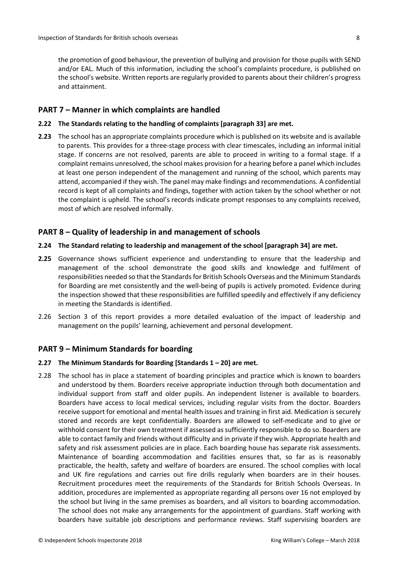the promotion of good behaviour, the prevention of bullying and provision for those pupils with SEND and/or EAL. Much of this information, including the school's complaints procedure, is published on the school's website. Written reports are regularly provided to parents about their children's progress and attainment.

#### <span id="page-7-0"></span>**PART 7 – Manner in which complaints are handled**

#### **2.22 The Standards relating to the handling of complaints [paragraph 33] are met.**

**2.23** The school has an appropriate complaints procedure which is published on its website and is available to parents. This provides for a three-stage process with clear timescales, including an informal initial stage. If concerns are not resolved, parents are able to proceed in writing to a formal stage. If a complaint remains unresolved, the school makes provision for a hearing before a panel which includes at least one person independent of the management and running of the school, which parents may attend, accompanied if they wish. The panel may make findings and recommendations. A confidential record is kept of all complaints and findings, together with action taken by the school whether or not the complaint is upheld. The school's records indicate prompt responses to any complaints received, most of which are resolved informally.

### <span id="page-7-1"></span>**PART 8 – Quality of leadership in and management of schools**

#### **2.24 The Standard relating to leadership and management of the school [paragraph 34] are met.**

- **2.25** Governance shows sufficient experience and understanding to ensure that the leadership and management of the school demonstrate the good skills and knowledge and fulfilment of responsibilities needed so that the Standards for British Schools Overseas and the Minimum Standards for Boarding are met consistently and the well-being of pupils is actively promoted. Evidence during the inspection showed that these responsibilities are fulfilled speedily and effectively if any deficiency in meeting the Standards is identified.
- 2.26 Section 3 of this report provides a more detailed evaluation of the impact of leadership and management on the pupils' learning, achievement and personal development.

#### <span id="page-7-2"></span>**PART 9 – Minimum Standards for boarding**

#### **2.27 The Minimum Standards for Boarding [Standards 1 – 20] are met.**

2.28 The school has in place a statement of boarding principles and practice which is known to boarders and understood by them. Boarders receive appropriate induction through both documentation and individual support from staff and older pupils. An independent listener is available to boarders. Boarders have access to local medical services, including regular visits from the doctor. Boarders receive support for emotional and mental health issues and training in first aid. Medication is securely stored and records are kept confidentially. Boarders are allowed to self-medicate and to give or withhold consent for their own treatment if assessed as sufficiently responsible to do so. Boarders are able to contact family and friends without difficulty and in private if they wish. Appropriate health and safety and risk assessment policies are in place. Each boarding house has separate risk assessments. Maintenance of boarding accommodation and facilities ensures that, so far as is reasonably practicable, the health, safety and welfare of boarders are ensured. The school complies with local and UK fire regulations and carries out fire drills regularly when boarders are in their houses. Recruitment procedures meet the requirements of the Standards for British Schools Overseas. In addition, procedures are implemented as appropriate regarding all persons over 16 not employed by the school but living in the same premises as boarders, and all visitors to boarding accommodation. The school does not make any arrangements for the appointment of guardians. Staff working with boarders have suitable job descriptions and performance reviews. Staff supervising boarders are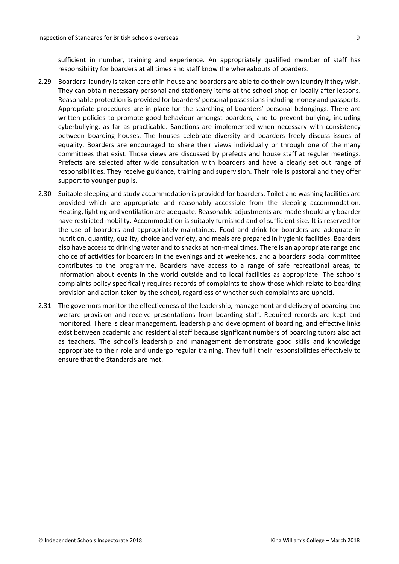sufficient in number, training and experience. An appropriately qualified member of staff has responsibility for boarders at all times and staff know the whereabouts of boarders.

- 2.29 Boarders' laundry is taken care of in-house and boarders are able to do their own laundry if they wish. They can obtain necessary personal and stationery items at the school shop or locally after lessons. Reasonable protection is provided for boarders' personal possessions including money and passports. Appropriate procedures are in place for the searching of boarders' personal belongings. There are written policies to promote good behaviour amongst boarders, and to prevent bullying, including cyberbullying, as far as practicable. Sanctions are implemented when necessary with consistency between boarding houses. The houses celebrate diversity and boarders freely discuss issues of equality. Boarders are encouraged to share their views individually or through one of the many committees that exist. Those views are discussed by prefects and house staff at regular meetings. Prefects are selected after wide consultation with boarders and have a clearly set out range of responsibilities. They receive guidance, training and supervision. Their role is pastoral and they offer support to younger pupils.
- 2.30 Suitable sleeping and study accommodation is provided for boarders. Toilet and washing facilities are provided which are appropriate and reasonably accessible from the sleeping accommodation. Heating, lighting and ventilation are adequate. Reasonable adjustments are made should any boarder have restricted mobility. Accommodation is suitably furnished and of sufficient size. It is reserved for the use of boarders and appropriately maintained. Food and drink for boarders are adequate in nutrition, quantity, quality, choice and variety, and meals are prepared in hygienic facilities. Boarders also have access to drinking water and to snacks at non-meal times. There is an appropriate range and choice of activities for boarders in the evenings and at weekends, and a boarders' social committee contributes to the programme. Boarders have access to a range of safe recreational areas, to information about events in the world outside and to local facilities as appropriate. The school's complaints policy specifically requires records of complaints to show those which relate to boarding provision and action taken by the school, regardless of whether such complaints are upheld.
- 2.31 The governors monitor the effectiveness of the leadership, management and delivery of boarding and welfare provision and receive presentations from boarding staff. Required records are kept and monitored. There is clear management, leadership and development of boarding, and effective links exist between academic and residential staff because significant numbers of boarding tutors also act as teachers. The school's leadership and management demonstrate good skills and knowledge appropriate to their role and undergo regular training. They fulfil their responsibilities effectively to ensure that the Standards are met.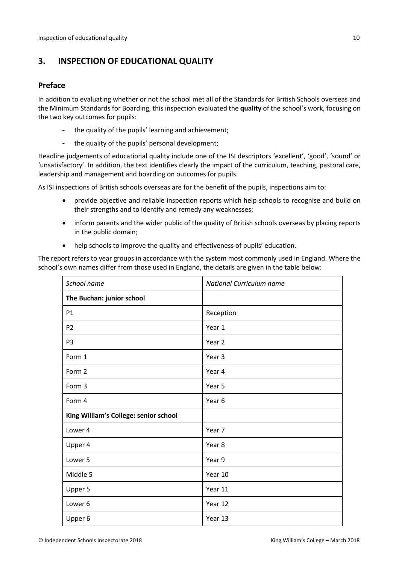## <span id="page-9-0"></span>**3. INSPECTION OF EDUCATIONAL QUALITY**

## <span id="page-9-1"></span>**Preface**

In addition to evaluating whether or not the school met all of the Standards for British Schools overseas and the Minimum Standards for Boarding, this inspection evaluated the **quality** of the school's work, focusing on the two key outcomes for pupils:

- the quality of the pupils' learning and achievement;
- the quality of the pupils' personal development;

Headline judgements of educational quality include one of the ISI descriptors 'excellent', 'good', 'sound' or 'unsatisfactory'. In addition, the text identifies clearly the impact of the curriculum, teaching, pastoral care, leadership and management and boarding on outcomes for pupils.

As ISI inspections of British schools overseas are for the benefit of the pupils, inspections aim to:

- provide objective and reliable inspection reports which help schools to recognise and build on their strengths and to identify and remedy any weaknesses;
- inform parents and the wider public of the quality of British schools overseas by placing reports in the public domain;
- help schools to improve the quality and effectiveness of pupils' education.

The report refers to year groups in accordance with the system most commonly used in England. Where the school's own names differ from those used in England, the details are given in the table below:

| School name                           | <b>National Curriculum name</b> |  |
|---------------------------------------|---------------------------------|--|
| The Buchan: junior school             |                                 |  |
| P1                                    | Reception                       |  |
| P <sub>2</sub>                        | Year 1                          |  |
| P <sub>3</sub>                        | Year 2                          |  |
| Form 1                                | Year 3                          |  |
| Form 2                                | Year 4                          |  |
| Form 3                                | Year 5                          |  |
| Form 4                                | Year 6                          |  |
| King William's College: senior school |                                 |  |
| Lower 4                               | Year 7                          |  |
| Upper 4                               | Year 8                          |  |
| Lower 5                               | Year 9                          |  |
| Middle 5                              | Year 10                         |  |
| Upper 5                               | Year 11                         |  |
| Lower <sub>6</sub>                    | Year 12                         |  |
| Upper 6                               | Year 13                         |  |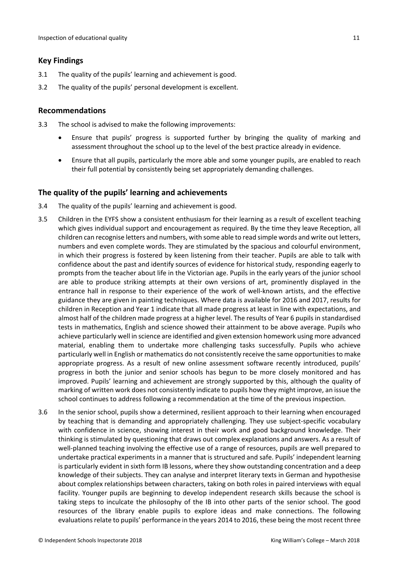### <span id="page-10-0"></span>**Key Findings**

- 3.1 The quality of the pupils' learning and achievement is good.
- 3.2 The quality of the pupils' personal development is excellent.

### <span id="page-10-1"></span>**Recommendations**

- 3.3 The school is advised to make the following improvements:
	- Ensure that pupils' progress is supported further by bringing the quality of marking and assessment throughout the school up to the level of the best practice already in evidence.
	- Ensure that all pupils, particularly the more able and some younger pupils, are enabled to reach their full potential by consistently being set appropriately demanding challenges.

### <span id="page-10-2"></span>**The quality of the pupils' learning and achievements**

- 3.4 The quality of the pupils' learning and achievement is good.
- 3.5 Children in the EYFS show a consistent enthusiasm for their learning as a result of excellent teaching which gives individual support and encouragement as required. By the time they leave Reception, all children can recognise letters and numbers, with some able to read simple words and write out letters, numbers and even complete words. They are stimulated by the spacious and colourful environment, in which their progress is fostered by keen listening from their teacher. Pupils are able to talk with confidence about the past and identify sources of evidence for historical study, responding eagerly to prompts from the teacher about life in the Victorian age. Pupils in the early years of the junior school are able to produce striking attempts at their own versions of art, prominently displayed in the entrance hall in response to their experience of the work of well-known artists, and the effective guidance they are given in painting techniques. Where data is available for 2016 and 2017, results for children in Reception and Year 1 indicate that all made progress at least in line with expectations, and almost half of the children made progress at a higher level. The results of Year 6 pupils in standardised tests in mathematics, English and science showed their attainment to be above average. Pupils who achieve particularly well in science are identified and given extension homework using more advanced material, enabling them to undertake more challenging tasks successfully. Pupils who achieve particularly well in English or mathematics do not consistently receive the same opportunitiesto make appropriate progress. As a result of new online assessment software recently introduced, pupils' progress in both the junior and senior schools has begun to be more closely monitored and has improved. Pupils' learning and achievement are strongly supported by this, although the quality of marking of written work does not consistently indicate to pupils how they might improve, an issue the school continues to address following a recommendation at the time of the previous inspection.
- 3.6 In the senior school, pupils show a determined, resilient approach to their learning when encouraged by teaching that is demanding and appropriately challenging. They use subject-specific vocabulary with confidence in science, showing interest in their work and good background knowledge. Their thinking is stimulated by questioning that draws out complex explanations and answers. As a result of well-planned teaching involving the effective use of a range of resources, pupils are well prepared to undertake practical experiments in a manner that is structured and safe. Pupils' independent learning is particularly evident in sixth form IB lessons, where they show outstanding concentration and a deep knowledge of their subjects. They can analyse and interpret literary texts in German and hypothesise about complex relationships between characters, taking on both roles in paired interviews with equal facility. Younger pupils are beginning to develop independent research skills because the school is taking steps to inculcate the philosophy of the IB into other parts of the senior school. The good resources of the library enable pupils to explore ideas and make connections. The following evaluations relate to pupils' performance in the years 2014 to 2016, these being the most recent three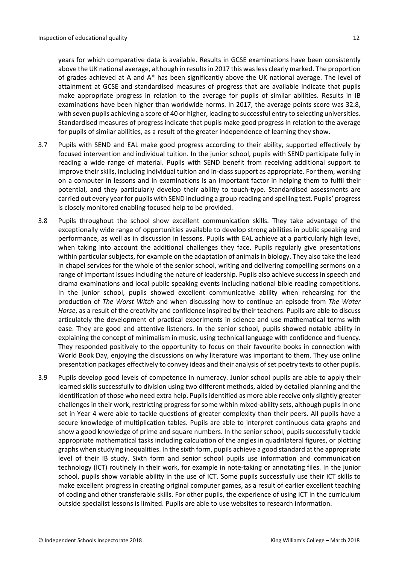years for which comparative data is available. Results in GCSE examinations have been consistently above the UK national average, although in results in 2017 this was less clearly marked. The proportion of grades achieved at A and A\* has been significantly above the UK national average. The level of attainment at GCSE and standardised measures of progress that are available indicate that pupils make appropriate progress in relation to the average for pupils of similar abilities. Results in IB examinations have been higher than worldwide norms. In 2017, the average points score was 32.8, with seven pupils achieving a score of 40 or higher, leading to successful entry to selecting universities. Standardised measures of progress indicate that pupils make good progress in relation to the average for pupils of similar abilities, as a result of the greater independence of learning they show.

- 3.7 Pupils with SEND and EAL make good progress according to their ability, supported effectively by focused intervention and individual tuition. In the junior school, pupils with SEND participate fully in reading a wide range of material. Pupils with SEND benefit from receiving additional support to improve their skills, including individual tuition and in-class support as appropriate. For them, working on a computer in lessons and in examinations is an important factor in helping them to fulfil their potential, and they particularly develop their ability to touch-type. Standardised assessments are carried out every year for pupils with SEND including a group reading and spelling test. Pupils' progress is closely monitored enabling focused help to be provided.
- 3.8 Pupils throughout the school show excellent communication skills. They take advantage of the exceptionally wide range of opportunities available to develop strong abilities in public speaking and performance, as well as in discussion in lessons. Pupils with EAL achieve at a particularly high level, when taking into account the additional challenges they face. Pupils regularly give presentations within particular subjects, for example on the adaptation of animals in biology. They also take the lead in chapel services for the whole of the senior school, writing and delivering compelling sermons on a range of important issues including the nature of leadership. Pupils also achieve success in speech and drama examinations and local public speaking events including national bible reading competitions. In the junior school, pupils showed excellent communicative ability when rehearsing for the production of *The Worst Witch* and when discussing how to continue an episode from *The Water Horse*, as a result of the creativity and confidence inspired by their teachers. Pupils are able to discuss articulately the development of practical experiments in science and use mathematical terms with ease. They are good and attentive listeners. In the senior school, pupils showed notable ability in explaining the concept of minimalism in music, using technical language with confidence and fluency. They responded positively to the opportunity to focus on their favourite books in connection with World Book Day, enjoying the discussions on why literature was important to them. They use online presentation packages effectively to convey ideas and their analysis of set poetry texts to other pupils.
- 3.9 Pupils develop good levels of competence in numeracy. Junior school pupils are able to apply their learned skills successfully to division using two different methods, aided by detailed planning and the identification of those who need extra help. Pupils identified as more able receive only slightly greater challenges in their work, restricting progress for some within mixed-ability sets, although pupils in one set in Year 4 were able to tackle questions of greater complexity than their peers. All pupils have a secure knowledge of multiplication tables. Pupils are able to interpret continuous data graphs and show a good knowledge of prime and square numbers. In the senior school, pupils successfully tackle appropriate mathematical tasks including calculation of the angles in quadrilateral figures, or plotting graphs when studying inequalities. In the sixth form, pupils achieve a good standard at the appropriate level of their IB study. Sixth form and senior school pupils use information and communication technology (ICT) routinely in their work, for example in note-taking or annotating files. In the junior school, pupils show variable ability in the use of ICT. Some pupils successfully use their ICT skills to make excellent progress in creating original computer games, as a result of earlier excellent teaching of coding and other transferable skills. For other pupils, the experience of using ICT in the curriculum outside specialist lessons is limited. Pupils are able to use websites to research information.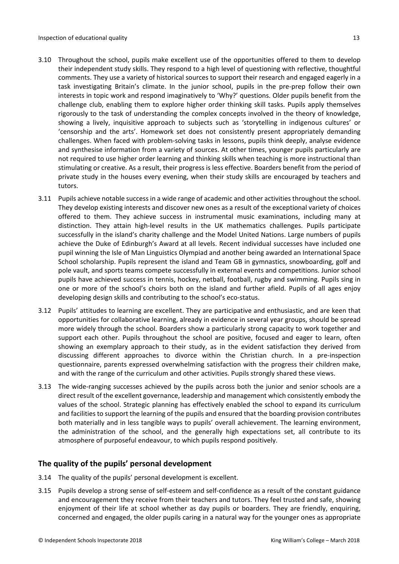- 3.10 Throughout the school, pupils make excellent use of the opportunities offered to them to develop their independent study skills. They respond to a high level of questioning with reflective, thoughtful comments. They use a variety of historical sources to support their research and engaged eagerly in a task investigating Britain's climate. In the junior school, pupils in the pre-prep follow their own interests in topic work and respond imaginatively to 'Why?' questions. Older pupils benefit from the challenge club, enabling them to explore higher order thinking skill tasks. Pupils apply themselves rigorously to the task of understanding the complex concepts involved in the theory of knowledge, showing a lively, inquisitive approach to subjects such as 'storytelling in indigenous cultures' or 'censorship and the arts'. Homework set does not consistently present appropriately demanding challenges. When faced with problem-solving tasks in lessons, pupils think deeply, analyse evidence and synthesise information from a variety of sources. At other times, younger pupils particularly are not required to use higher order learning and thinking skills when teaching is more instructional than stimulating or creative. As a result, their progress is less effective. Boarders benefit from the period of private study in the houses every evening, when their study skills are encouraged by teachers and tutors.
- 3.11 Pupils achieve notable success in a wide range of academic and other activities throughout the school. They develop existing interests and discover new ones as a result of the exceptional variety of choices offered to them. They achieve success in instrumental music examinations, including many at distinction. They attain high-level results in the UK mathematics challenges. Pupils participate successfully in the island's charity challenge and the Model United Nations. Large numbers of pupils achieve the Duke of Edinburgh's Award at all levels. Recent individual successes have included one pupil winning the Isle of Man Linguistics Olympiad and another being awarded an International Space School scholarship. Pupils represent the island and Team GB in gymnastics, snowboarding, golf and pole vault, and sports teams compete successfully in external events and competitions. Junior school pupils have achieved success in tennis, hockey, netball, football, rugby and swimming. Pupils sing in one or more of the school's choirs both on the island and further afield. Pupils of all ages enjoy developing design skills and contributing to the school's eco-status.
- 3.12 Pupils' attitudes to learning are excellent. They are participative and enthusiastic, and are keen that opportunities for collaborative learning, already in evidence in several year groups, should be spread more widely through the school. Boarders show a particularly strong capacity to work together and support each other. Pupils throughout the school are positive, focused and eager to learn, often showing an exemplary approach to their study, as in the evident satisfaction they derived from discussing different approaches to divorce within the Christian church. In a pre-inspection questionnaire, parents expressed overwhelming satisfaction with the progress their children make, and with the range of the curriculum and other activities. Pupils strongly shared these views.
- 3.13 The wide-ranging successes achieved by the pupils across both the junior and senior schools are a direct result of the excellent governance, leadership and management which consistently embody the values of the school. Strategic planning has effectively enabled the school to expand its curriculum and facilities to support the learning of the pupils and ensured that the boarding provision contributes both materially and in less tangible ways to pupils' overall achievement. The learning environment, the administration of the school, and the generally high expectations set, all contribute to its atmosphere of purposeful endeavour, to which pupils respond positively.

## <span id="page-12-0"></span>**The quality of the pupils' personal development**

- 3.14 The quality of the pupils' personal development is excellent.
- 3.15 Pupils develop a strong sense of self-esteem and self-confidence as a result of the constant guidance and encouragement they receive from their teachers and tutors. They feel trusted and safe, showing enjoyment of their life at school whether as day pupils or boarders. They are friendly, enquiring, concerned and engaged, the older pupils caring in a natural way for the younger ones as appropriate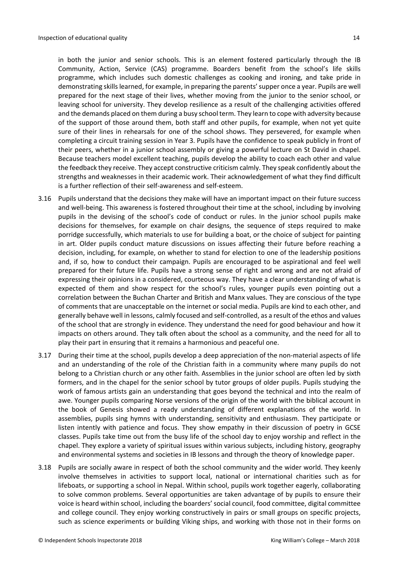in both the junior and senior schools. This is an element fostered particularly through the IB Community, Action, Service (CAS) programme. Boarders benefit from the school's life skills programme, which includes such domestic challenges as cooking and ironing, and take pride in demonstrating skillslearned, for example, in preparing the parents'supper once a year. Pupils are well prepared for the next stage of their lives, whether moving from the junior to the senior school, or leaving school for university. They develop resilience as a result of the challenging activities offered and the demands placed on them during a busy school term. They learn to cope with adversity because of the support of those around them, both staff and other pupils, for example, when not yet quite sure of their lines in rehearsals for one of the school shows. They persevered, for example when completing a circuit training session in Year 3. Pupils have the confidence to speak publicly in front of their peers, whether in a junior school assembly or giving a powerful lecture on St David in chapel. Because teachers model excellent teaching, pupils develop the ability to coach each other and value the feedback they receive. They accept constructive criticism calmly. They speak confidently about the strengths and weaknesses in their academic work. Their acknowledgement of what they find difficult is a further reflection of their self-awareness and self-esteem.

- 3.16 Pupils understand that the decisions they make will have an important impact on their future success and well-being. This awareness is fostered throughout their time at the school, including by involving pupils in the devising of the school's code of conduct or rules. In the junior school pupils make decisions for themselves, for example on chair designs, the sequence of steps required to make porridge successfully, which materials to use for building a boat, or the choice of subject for painting in art. Older pupils conduct mature discussions on issues affecting their future before reaching a decision, including, for example, on whether to stand for election to one of the leadership positions and, if so, how to conduct their campaign. Pupils are encouraged to be aspirational and feel well prepared for their future life. Pupils have a strong sense of right and wrong and are not afraid of expressing their opinions in a considered, courteous way. They have a clear understanding of what is expected of them and show respect for the school's rules, younger pupils even pointing out a correlation between the Buchan Charter and British and Manx values. They are conscious of the type of comments that are unacceptable on the internet or social media. Pupils are kind to each other, and generally behave well in lessons, calmly focused and self-controlled, as a result of the ethos and values of the school that are strongly in evidence. They understand the need for good behaviour and how it impacts on others around. They talk often about the school as a community, and the need for all to play their part in ensuring that it remains a harmonious and peaceful one.
- 3.17 During their time at the school, pupils develop a deep appreciation of the non-material aspects of life and an understanding of the role of the Christian faith in a community where many pupils do not belong to a Christian church or any other faith. Assemblies in the junior school are often led by sixth formers, and in the chapel for the senior school by tutor groups of older pupils. Pupils studying the work of famous artists gain an understanding that goes beyond the technical and into the realm of awe. Younger pupils comparing Norse versions of the origin of the world with the biblical account in the book of Genesis showed a ready understanding of different explanations of the world. In assemblies, pupils sing hymns with understanding, sensitivity and enthusiasm. They participate or listen intently with patience and focus. They show empathy in their discussion of poetry in GCSE classes. Pupils take time out from the busy life of the school day to enjoy worship and reflect in the chapel. They explore a variety of spiritual issues within various subjects, including history, geography and environmental systems and societies in IB lessons and through the theory of knowledge paper.
- 3.18 Pupils are socially aware in respect of both the school community and the wider world. They keenly involve themselves in activities to support local, national or international charities such as for lifeboats, or supporting a school in Nepal. Within school, pupils work together eagerly, collaborating to solve common problems. Several opportunities are taken advantage of by pupils to ensure their voice is heard within school, including the boarders' social council, food committee, digital committee and college council. They enjoy working constructively in pairs or small groups on specific projects, such as science experiments or building Viking ships, and working with those not in their forms on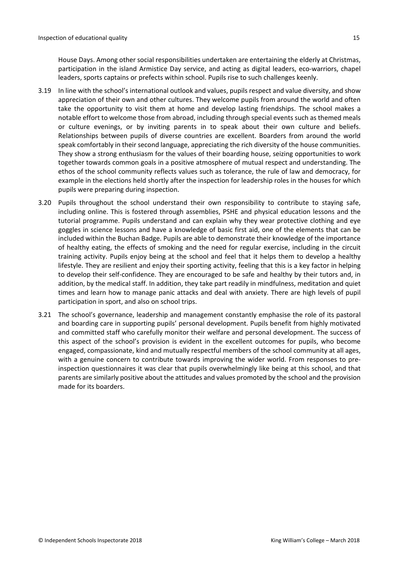House Days. Among other social responsibilities undertaken are entertaining the elderly at Christmas, participation in the island Armistice Day service, and acting as digital leaders, eco-warriors, chapel leaders, sports captains or prefects within school. Pupils rise to such challenges keenly.

- 3.19 In line with the school's international outlook and values, pupils respect and value diversity, and show appreciation of their own and other cultures. They welcome pupils from around the world and often take the opportunity to visit them at home and develop lasting friendships. The school makes a notable effort to welcome those from abroad, including through special events such as themed meals or culture evenings, or by inviting parents in to speak about their own culture and beliefs. Relationships between pupils of diverse countries are excellent. Boarders from around the world speak comfortably in their second language, appreciating the rich diversity of the house communities. They show a strong enthusiasm for the values of their boarding house, seizing opportunities to work together towards common goals in a positive atmosphere of mutual respect and understanding. The ethos of the school community reflects values such as tolerance, the rule of law and democracy, for example in the elections held shortly after the inspection for leadership roles in the houses for which pupils were preparing during inspection.
- 3.20 Pupils throughout the school understand their own responsibility to contribute to staying safe, including online. This is fostered through assemblies, PSHE and physical education lessons and the tutorial programme. Pupils understand and can explain why they wear protective clothing and eye goggles in science lessons and have a knowledge of basic first aid, one of the elements that can be included within the Buchan Badge. Pupils are able to demonstrate their knowledge of the importance of healthy eating, the effects of smoking and the need for regular exercise, including in the circuit training activity. Pupils enjoy being at the school and feel that it helps them to develop a healthy lifestyle. They are resilient and enjoy their sporting activity, feeling that this is a key factor in helping to develop their self-confidence. They are encouraged to be safe and healthy by their tutors and, in addition, by the medical staff. In addition, they take part readily in mindfulness, meditation and quiet times and learn how to manage panic attacks and deal with anxiety. There are high levels of pupil participation in sport, and also on school trips.
- 3.21 The school's governance, leadership and management constantly emphasise the role of its pastoral and boarding care in supporting pupils' personal development. Pupils benefit from highly motivated and committed staff who carefully monitor their welfare and personal development. The success of this aspect of the school's provision is evident in the excellent outcomes for pupils, who become engaged, compassionate, kind and mutually respectful members of the school community at all ages, with a genuine concern to contribute towards improving the wider world. From responses to preinspection questionnaires it was clear that pupils overwhelmingly like being at this school, and that parents are similarly positive about the attitudes and values promoted by the school and the provision made for its boarders.